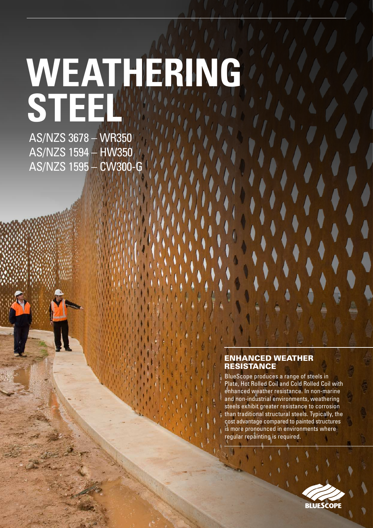# AS/NZS 3678 – WR350 **WEATHERING STEEL**

AS/NZS 1594 – HW350 AS/NZS 1595 – CW300-G

#### ENHANCED WEATHER **RESISTANCE**

BlueScope produces a range of steels in Plate, Hot Rolled Coil and Cold Rolled Coil with enhanced weather resistance. In non-marine and non-industrial environments, weathering steels exhibit greater resistance to corrosion than traditional structural steels. Typically, the cost advantage compared to painted structures is more pronounced in environments where regular repainting is required.